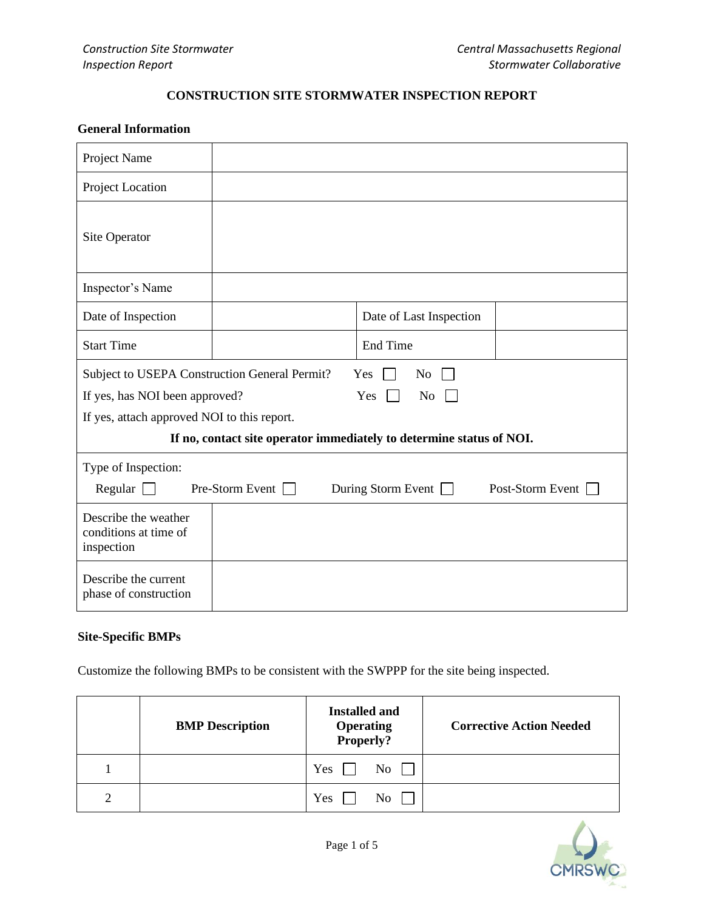## **CONSTRUCTION SITE STORMWATER INSPECTION REPORT**

## **General Information**

| Project Name                                                                         |                                                            |                         |  |  |  |
|--------------------------------------------------------------------------------------|------------------------------------------------------------|-------------------------|--|--|--|
| Project Location                                                                     |                                                            |                         |  |  |  |
| Site Operator                                                                        |                                                            |                         |  |  |  |
| Inspector's Name                                                                     |                                                            |                         |  |  |  |
| Date of Inspection                                                                   |                                                            | Date of Last Inspection |  |  |  |
| <b>Start Time</b>                                                                    |                                                            | <b>End Time</b>         |  |  |  |
|                                                                                      | Subject to USEPA Construction General Permit?<br>No<br>Yes |                         |  |  |  |
| If yes, has NOI been approved?<br>Yes<br>No                                          |                                                            |                         |  |  |  |
| If yes, attach approved NOI to this report.                                          |                                                            |                         |  |  |  |
| If no, contact site operator immediately to determine status of NOI.                 |                                                            |                         |  |  |  |
| Type of Inspection:                                                                  |                                                            |                         |  |  |  |
| $Pre-Storm$ Event $\Box$<br>During Storm Event $\Box$<br>Post-Storm Event<br>Regular |                                                            |                         |  |  |  |
| Describe the weather<br>conditions at time of<br>inspection                          |                                                            |                         |  |  |  |
| Describe the current<br>phase of construction                                        |                                                            |                         |  |  |  |

# **Site-Specific BMPs**

Customize the following BMPs to be consistent with the SWPPP for the site being inspected.

|   | <b>BMP</b> Description | <b>Installed and</b><br><b>Operating<br/>Properly?</b> | <b>Corrective Action Needed</b> |
|---|------------------------|--------------------------------------------------------|---------------------------------|
|   |                        | Yes<br>N <sub>o</sub>                                  |                                 |
| ∍ |                        | Yes<br>N <sub>o</sub>                                  |                                 |

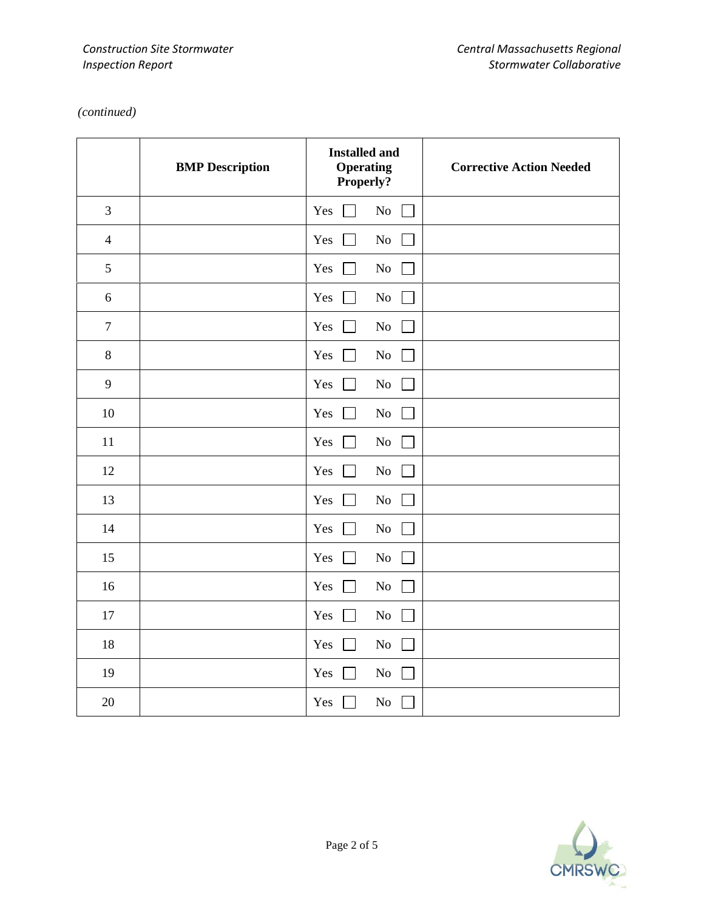# *(continued)*

|                  | <b>BMP</b> Description | <b>Installed and</b><br><b>Operating</b><br>Properly? | <b>Corrective Action Needed</b> |
|------------------|------------------------|-------------------------------------------------------|---------------------------------|
| 3                |                        | Yes<br>$\rm No$                                       |                                 |
| $\overline{4}$   |                        | Yes<br>$\rm No$                                       |                                 |
| 5                |                        | $\rm No$<br>Yes                                       |                                 |
| $\sqrt{6}$       |                        | $\rm No$<br>Yes                                       |                                 |
| $\boldsymbol{7}$ |                        | Yes<br>$\rm No$                                       |                                 |
| $\,8\,$          |                        | Yes<br>$\rm No$<br>$\perp$                            |                                 |
| 9                |                        | Yes<br>$\rm No$                                       |                                 |
| 10               |                        | Yes<br>$\rm No$<br>$\mathbf{L}$                       |                                 |
| 11               |                        | $\rm No$<br>Yes                                       |                                 |
| 12               |                        | Yes<br>$\rm No$                                       |                                 |
| 13               |                        | Yes<br>$\rm No$                                       |                                 |
| 14               |                        | Yes<br>$\rm No$                                       |                                 |
| 15               |                        | $\rm No$<br>Yes                                       |                                 |
| 16               |                        | $\rm No$<br>Yes<br>$\vert \ \ \vert$                  |                                 |
| 17               |                        | Yes<br>$\rm No$                                       |                                 |
| 18               |                        | ${\rm No}$<br>Yes<br>$\blacksquare$                   |                                 |
| 19               |                        | Yes<br>No                                             |                                 |
| 20               |                        | $\rm No$<br>Yes                                       |                                 |

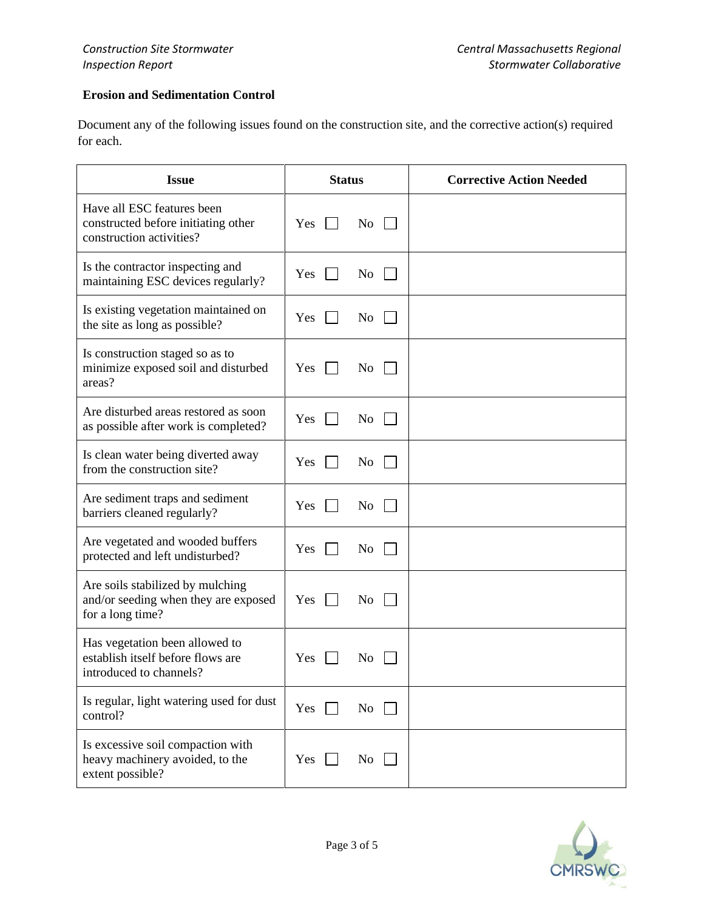## **Erosion and Sedimentation Control**

Document any of the following issues found on the construction site, and the corrective action(s) required for each.

| <b>Issue</b>                                                                                   | <b>Status</b> |                    | <b>Corrective Action Needed</b> |
|------------------------------------------------------------------------------------------------|---------------|--------------------|---------------------------------|
| Have all ESC features been<br>constructed before initiating other<br>construction activities?  | Yes           | $\rm{No}$          |                                 |
| Is the contractor inspecting and<br>maintaining ESC devices regularly?                         | Yes           | No<br>$\mathbf{1}$ |                                 |
| Is existing vegetation maintained on<br>the site as long as possible?                          | Yes           | No.                |                                 |
| Is construction staged so as to<br>minimize exposed soil and disturbed<br>areas?               | <b>Yes</b>    | $\overline{N_{0}}$ |                                 |
| Are disturbed areas restored as soon<br>as possible after work is completed?                   | Yes           | N <sub>o</sub>     |                                 |
| Is clean water being diverted away<br>from the construction site?                              | Yes           | N <sub>0</sub>     |                                 |
| Are sediment traps and sediment<br>barriers cleaned regularly?                                 | Yes           | $\rm{No}$          |                                 |
| Are vegetated and wooded buffers<br>protected and left undisturbed?                            | Yes           | No                 |                                 |
| Are soils stabilized by mulching<br>and/or seeding when they are exposed<br>for a long time?   | Yes           | N <sub>o</sub>     |                                 |
| Has vegetation been allowed to<br>establish itself before flows are<br>introduced to channels? | Yes           | N <sub>0</sub>     |                                 |
| Is regular, light watering used for dust<br>control?                                           | Yes           | No                 |                                 |
| Is excessive soil compaction with<br>heavy machinery avoided, to the<br>extent possible?       | Yes           | No                 |                                 |

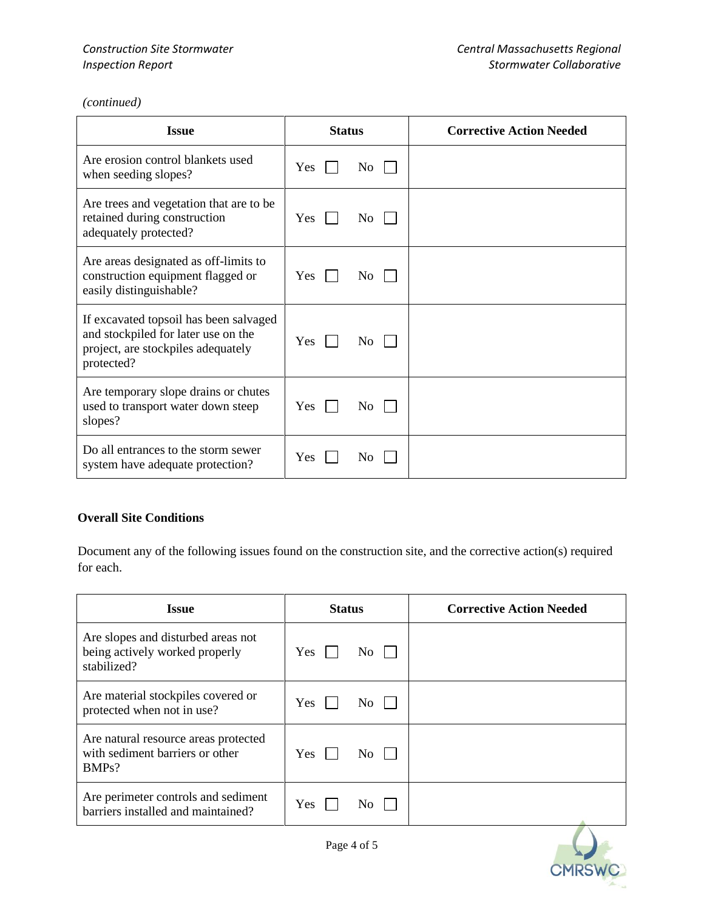*(continued)*

| <b>Issue</b>                                                                                                                      | <b>Status</b>         | <b>Corrective Action Needed</b> |
|-----------------------------------------------------------------------------------------------------------------------------------|-----------------------|---------------------------------|
| Are erosion control blankets used<br>when seeding slopes?                                                                         | Yes<br>N <sub>0</sub> |                                 |
| Are trees and vegetation that are to be<br>retained during construction<br>adequately protected?                                  | <b>Yes</b><br>No.     |                                 |
| Are areas designated as off-limits to<br>construction equipment flagged or<br>easily distinguishable?                             | Yes<br>N <sub>0</sub> |                                 |
| If excavated topsoil has been salvaged<br>and stockpiled for later use on the<br>project, are stockpiles adequately<br>protected? | Yes<br>N <sub>0</sub> |                                 |
| Are temporary slope drains or chutes<br>used to transport water down steep<br>slopes?                                             | Yes<br>N <sub>0</sub> |                                 |
| Do all entrances to the storm sewer<br>system have adequate protection?                                                           | Yes<br>No             |                                 |

### **Overall Site Conditions**

Document any of the following issues found on the construction site, and the corrective action(s) required for each.

| <b>Issue</b>                                                                        | <b>Status</b>         | <b>Corrective Action Needed</b> |
|-------------------------------------------------------------------------------------|-----------------------|---------------------------------|
| Are slopes and disturbed areas not<br>being actively worked properly<br>stabilized? | Yes<br>No.            |                                 |
| Are material stockpiles covered or<br>protected when not in use?                    | Yes<br>N <sub>0</sub> |                                 |
| Are natural resource areas protected<br>with sediment barriers or other<br>BMPs?    | Yes<br>No             |                                 |
| Are perimeter controls and sediment<br>barriers installed and maintained?           | Yes<br>No             |                                 |